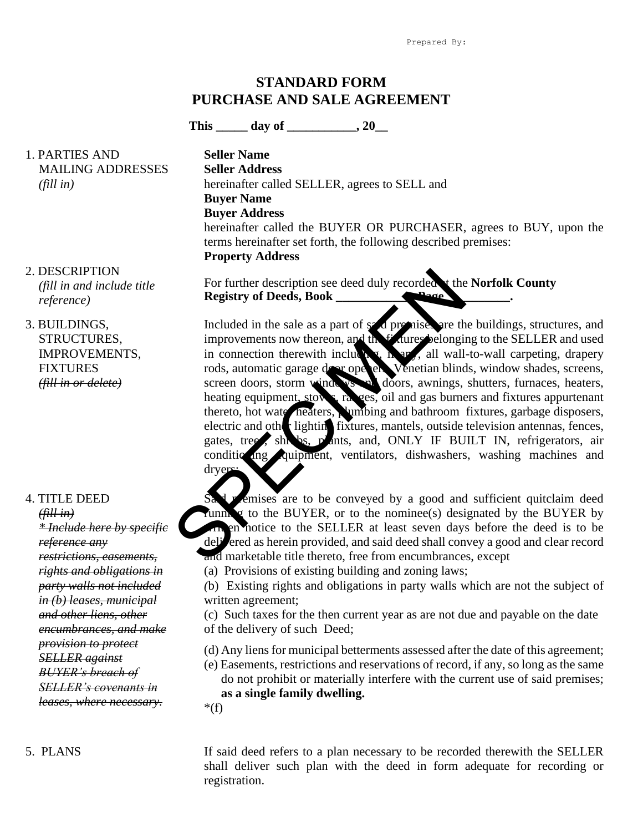# **STANDARD FORM PURCHASE AND SALE AGREEMENT**

**This \_\_\_\_\_ day of \_\_\_\_\_\_\_\_\_\_\_, 20\_\_**

1. PARTIES AND MAILING ADDRESSES *(fill in)*

**Seller Name Seller Address** hereinafter called SELLER, agrees to SELL and **Buyer Name Buyer Address** hereinafter called the BUYER OR PURCHASER, agrees to BUY, upon the terms hereinafter set forth, the following described premises:

#### **Property Address**

For further description see deed duly recorded at the **Norfolk County Registry of Deeds, Book** 

Included in the sale as a part of  $s \times d$  premises are the buildings, structures, and improvements now thereon, and the fixtures belonging to the SELLER and used in connection therewith including, in any, all wall-to-wall carpeting, drapery rods, automatic garage door openers, Venetian blinds, window shades, screens, screen doors, storm windows and doors, awnings, shutters, furnaces, heaters, heating equipment, stove, ranges, oil and gas burners and fixtures appurtenant thereto, hot waterheaters, plumbing and bathroom fixtures, garbage disposers, electric and other lighting fixtures, mantels, outside television antennas, fences, gates, trees, shrubs, plants, and, ONLY IF BUILT IN, refrigerators, air conditioning equipment, ventilators, dishwashers, washing machines and dryers For further description see deed duly recorded the<br>Registry of Deeds, Book<br>Included in the sale as a part of solution of the improvements now thereon, and the interestigation<br>in connection therewith includes a part of solu

emises are to be conveyed by a good and sufficient quitclaim deed  $r$ unning to the BUYER, or to the nominee(s) designated by the BUYER by The en notice to the SELLER at least seven days before the deed is to be delivered as herein provided, and said deed shall convey a good and clear record and marketable title thereto, free from encumbrances, except

(a) Provisions of existing building and zoning laws;

*(*b) Existing rights and obligations in party walls which are not the subject of written agreement;

(c) Such taxes for the then current year as are not due and payable on the date of the delivery of such Deed;

(d) Any liens for municipal betterments assessed after the date of this agreement;

(e) Easements, restrictions and reservations of record, if any, so long as the same do not prohibit or materially interfere with the current use of said premises; **as a single family dwelling.**

 $*(f)$ 

5. PLANS If said deed refers to a plan necessary to be recorded therewith the SELLER shall deliver such plan with the deed in form adequate for recording or registration.

## 2. DESCRIPTION

*(fill in and include title reference)*

# 3. BUILDINGS, STRUCTURES,

IMPROVEMENTS, FIXTURES *(fill in or delete)*

# 4. TITLE DEED

*(fill in) \* Include here by specific reference any restrictions, easements, rights and obligations in party walls not included in (b) leases, municipal and other liens, other encumbrances, and make provision to protect SELLER against BUYER's breach of SELLER's covenants in leases, where necessary.*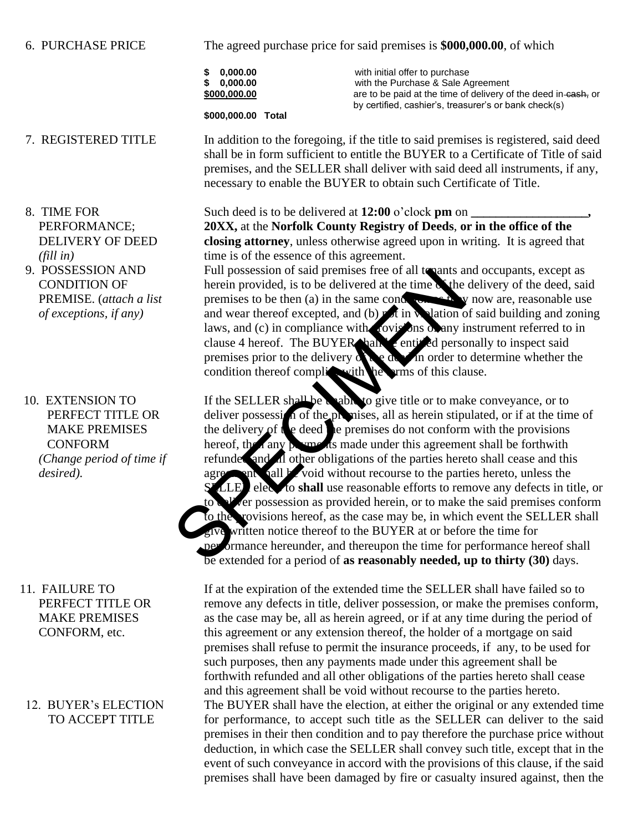6. PURCHASE PRICE The agreed purchase price for said premises is **\$000,000.00**, of which

**\$ 0,000.00** with initial offer to purchase **\$ 0,000.00** with the Purchase & Sale Agreement **\$000,000.00** are to be paid at the time of delivery of the deed in cash, or by certified, cashier's, treasurer's or bank check(s)

#### **\$000,000.00 Total**

8. TIME FOR PERFORMANCE; DELIVERY OF DEED *(fill in)*

9. POSSESSION AND CONDITION OF PREMISE. (*attach a list of exceptions, if any)*

10. EXTENSION TO PERFECT TITLE OR MAKE PREMISES **CONFORM** *(Change period of time if desired).*

## 11. FAILURE TO PERFECT TITLE OR MAKE PREMISES CONFORM, etc.

## 12. BUYER's ELECTION TO ACCEPT TITLE

7. REGISTERED TITLE In addition to the foregoing, if the title to said premises is registered, said deed shall be in form sufficient to entitle the BUYER to a Certificate of Title of said premises, and the SELLER shall deliver with said deed all instruments, if any, necessary to enable the BUYER to obtain such Certificate of Title.

> Such deed is to be delivered at 12:00 o'clock pm on  $\blacksquare$ **20XX,** at the **Norfolk County Registry of Deeds**, **or in the office of the closing attorney**, unless otherwise agreed upon in writing. It is agreed that time is of the essence of this agreement.

Full possession of said premises free of all tenants and occupants, except as herein provided, is to be delivered at the time  $\sum$  the delivery of the deed, said premises to be then (a) in the same condition as they now are, reasonable use and wear thereof excepted, and (b)  $\mathbf{\hat{r}}$  in via lation of said building and zoning laws, and (c) in compliance with provisions of any instrument referred to in clause 4 hereof. The BUYER hall centitled personally to inspect said premises prior to the delivery  $\alpha$  the determine whether the condition thereof complies with the terms of this clause.

If the SELLER shall be unable to give title or to make conveyance, or to deliver possession of the premises, all as herein stipulated, or if at the time of the delivery of the deed the premises do not conform with the provisions hereof, then any payments made under this agreement shall be forthwith refunded and all other obligations of the parties hereto shall cease and this agreement shall be void without recourse to the parties hereto, unless the  $\angle$ **ELER** electric to **shall** use reasonable efforts to remove any defects in title, or er possession as provided herein, or to make the said premises conform to the provisions hereof, as the case may be, in which event the SELLER shall written notice thereof to the BUYER at or before the time for performance hereunder, and thereupon the time for performance hereof shall be extended for a period of **as reasonably needed, up to thirty (30)** days. Full possession of said premises free of all texants a<br>herein provided, is to be delivered at the time when<br>premises to be then (a) in the same contraction of<br>and wear thereof excepted, and (b)  $\frac{1}{\sqrt{10}}$  in whation of<br>

If at the expiration of the extended time the SELLER shall have failed so to remove any defects in title, deliver possession, or make the premises conform, as the case may be, all as herein agreed, or if at any time during the period of this agreement or any extension thereof, the holder of a mortgage on said premises shall refuse to permit the insurance proceeds, if any, to be used for such purposes, then any payments made under this agreement shall be forthwith refunded and all other obligations of the parties hereto shall cease and this agreement shall be void without recourse to the parties hereto. The BUYER shall have the election, at either the original or any extended time for performance, to accept such title as the SELLER can deliver to the said premises in their then condition and to pay therefore the purchase price without deduction, in which case the SELLER shall convey such title, except that in the event of such conveyance in accord with the provisions of this clause, if the said premises shall have been damaged by fire or casualty insured against, then the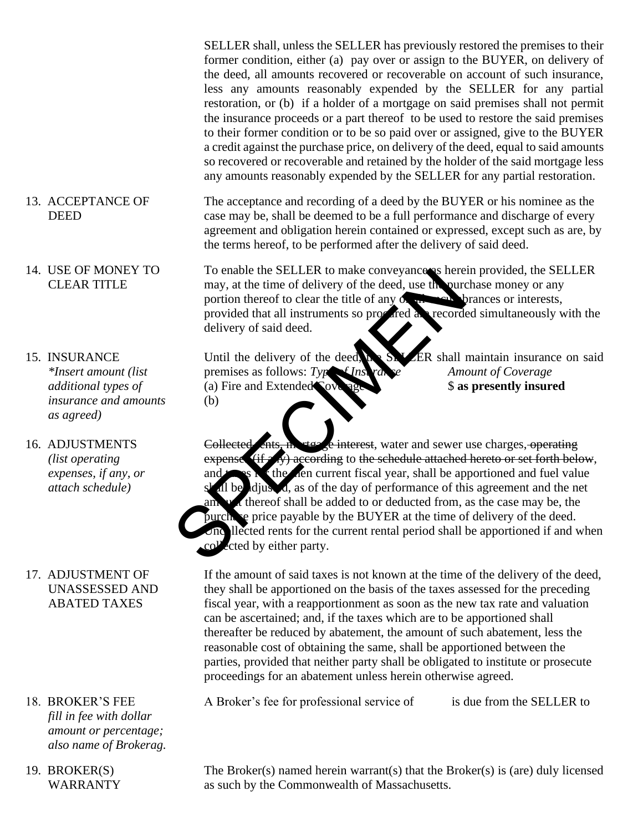SELLER shall, unless the SELLER has previously restored the premises to their former condition, either (a) pay over or assign to the BUYER, on delivery of the deed, all amounts recovered or recoverable on account of such insurance, less any amounts reasonably expended by the SELLER for any partial restoration, or (b) if a holder of a mortgage on said premises shall not permit the insurance proceeds or a part thereof to be used to restore the said premises to their former condition or to be so paid over or assigned, give to the BUYER a credit against the purchase price, on delivery of the deed, equal to said amounts so recovered or recoverable and retained by the holder of the said mortgage less any amounts reasonably expended by the SELLER for any partial restoration.

The acceptance and recording of a deed by the BUYER or his nominee as the case may be, shall be deemed to be a full performance and discharge of every agreement and obligation herein contained or expressed, except such as are, by the terms hereof, to be performed after the delivery of said deed.

> To enable the SELLER to make conveyance as herein provided, the SELLER may, at the time of delivery of the deed, use the purchase money or any portion thereof to clear the title of any  $\alpha$ provided that all instruments so procured as recorded simultaneously with the delivery of said deed.

Until the delivery of the deed,  $\mathbf{S}$  SELLER shall maintain insurance on said premises as follows: *Type of Insurance Amount of Coverage* (a) Fire and Extended Cove age \$ **as presently insured** (b)

Collected ents, in the b interest, water and sewer use charges, operating expenses (if  $\mathcal{A}$ y) according to the schedule attached hereto or set forth below, and  $t$  as  $\kappa$  the then current fiscal year, shall be apportioned and fuel value diusted, as of the day of performance of this agreement and the net thereof shall be added to or deducted from, as the case may be, the purchase price payable by the BUYER at the time of delivery of the deed.  $Unc$  llected rents for the current rental period shall be apportioned if and when cted by either party. To enable the SELLER to make conveyance is nere<br>may, at the time of delivery of the deed, use the pure<br>provided that all instruments so propertied as<br>delivery of said deed.<br>Until the delivery of the deed and recorded<br>deliv

If the amount of said taxes is not known at the time of the delivery of the deed, they shall be apportioned on the basis of the taxes assessed for the preceding fiscal year, with a reapportionment as soon as the new tax rate and valuation can be ascertained; and, if the taxes which are to be apportioned shall thereafter be reduced by abatement, the amount of such abatement, less the reasonable cost of obtaining the same, shall be apportioned between the parties, provided that neither party shall be obligated to institute or prosecute proceedings for an abatement unless herein otherwise agreed.

A Broker's fee for professional service ofis due from the SELLER to

The Broker(s) named herein warrant(s) that the Broker(s) is (are) duly licensed as such by the Commonwealth of Massachusetts.

#### 13. ACCEPTANCE OF DEED

14. USE OF MONEY TO CLEAR TITLE

# 15. INSURANCE

*\*Insert amount (list additional types of insurance and amounts as agreed)*

#### 16. ADJUSTMENTS *(list operating expenses, if any, or attach schedule)*

# 17. ADJUSTMENT OF UNASSESSED AND ABATED TAXES

### 18. BROKER'S FEE *fill in fee with dollar amount or percentage; also name of Brokerag.*

19. BROKER(S) WARRANTY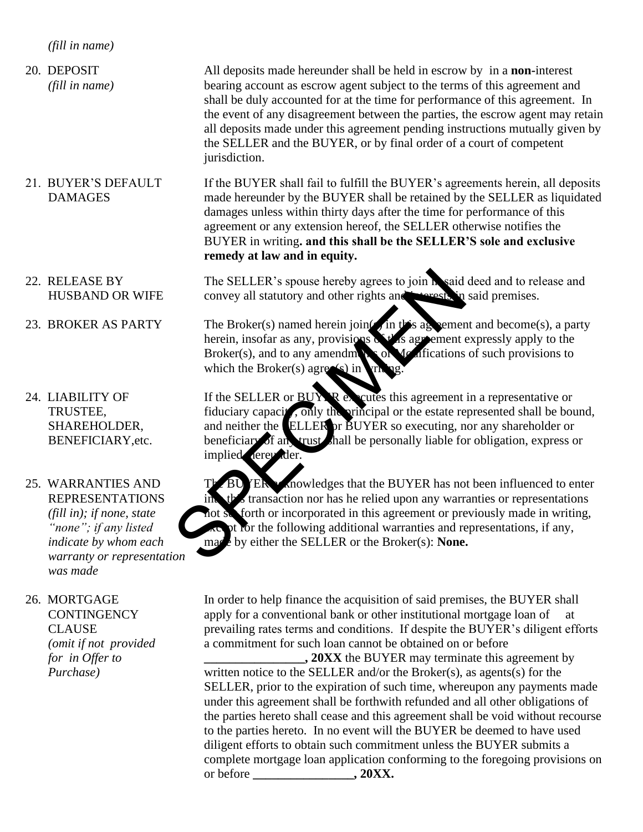| 20. DEPOSIT<br>$\left(\text{fill in name}\right)$                    | All deposits made hereunder shall be held in escrow by in a <b>non-</b> interest<br>bearing account as escrow agent subject to the terms of this agreement and<br>shall be duly accounted for at the time for performance of this agreement. In<br>the event of any disagreement between the parties, the escrow agent may retain<br>all deposits made under this agreement pending instructions mutually given by<br>the SELLER and the BUYER, or by final order of a court of competent<br>jurisdiction. |
|----------------------------------------------------------------------|------------------------------------------------------------------------------------------------------------------------------------------------------------------------------------------------------------------------------------------------------------------------------------------------------------------------------------------------------------------------------------------------------------------------------------------------------------------------------------------------------------|
| 21. BUYER'S DEFAULT                                                  | If the BUYER shall fail to fulfill the BUYER's agreements herein, all deposits                                                                                                                                                                                                                                                                                                                                                                                                                             |
| $P$ $\mathbf{I}$ $\mathbf{I}$ $\mathbf{I}$ $\mathbf{I}$ $\mathbf{I}$ | $\mathbf{1}$ $\mathbf{1}$ $\mathbf{1}$ $\mathbf{1}$ $\mathbf{1}$ $\mathbf{1}$ $\mathbf{1}$ $\mathbf{1}$ $\mathbf{1}$ $\mathbf{1}$ $\mathbf{1}$ $\mathbf{1}$ $\mathbf{1}$ $\mathbf{1}$ $\mathbf{1}$ $\mathbf{1}$ $\mathbf{1}$ $\mathbf{1}$ $\mathbf{1}$ $\mathbf{1}$ $\mathbf{1}$ $\mathbf{1}$ $\mathbf{1}$ $\mathbf{1}$ $\mathbf{$                                                                                                                                                                         |

- DAMAGES made hereunder by the BUYER shall be retained by the SELLER as liquidated damages unless within thirty days after the time for performance of this agreement or any extension hereof, the SELLER otherwise notifies the BUYER in writing**. and this shall be the SELLER'S sole and exclusive remedy at law and in equity.**
- 22. RELEASE BY HUSBAND OR WIFE The SELLER's spouse hereby agrees to join in said deed and to release and convey all statutory and other rights and interests in said premises.
- 23. BROKER AS PARTY The Broker(s) named herein join $\mathcal{L}$  in this agreement and become(s), a party herein, insofar as any, provisions  $\delta t$  as agreement expressly apply to the Broker(s), and to any amendments or Modifications of such provisions to which the Broker(s) agree(s) in
	- If the SELLER or BUYER executes this agreement in a representative or fiduciary capacity, only the principal or the estate represented shall be bound, and neither the ELLER or BUYER so executing, nor any shareholder or beneficiary of any trust, shall be personally liable for obligation, express or implied, dereunder.

The BUYER has not been influenced to enter It transaction nor has he relied upon any warranties or representations Forth or incorporated in this agreement or previously made in writing, pt for the following additional warranties and representations, if any, made by either the SELLER or the Broker(s): **None.** The SELLER's spouse hereby agrees to join has all<br>convey all statutory and other rights and<br>The Broker(s) named herein join(a) in this agreement<br>herein, insofar as any, provisions was agreement<br>Broker(s), and to any amendm

In order to help finance the acquisition of said premises, the BUYER shall apply for a conventional bank or other institutional mortgage loan of prevailing rates terms and conditions. If despite the BUYER's diligent efforts a commitment for such loan cannot be obtained on or before

 $\rightarrow$  20XX the BUYER may terminate this agreement by written notice to the SELLER and/or the Broker(s), as agents(s) for the SELLER, prior to the expiration of such time, whereupon any payments made under this agreement shall be forthwith refunded and all other obligations of the parties hereto shall cease and this agreement shall be void without recourse to the parties hereto. In no event will the BUYER be deemed to have used diligent efforts to obtain such commitment unless the BUYER submits a complete mortgage loan application conforming to the foregoing provisions on or before **\_\_\_\_\_\_\_\_\_\_\_\_\_\_\_\_, 20XX.**

24. LIABILITY OF TRUSTEE,

SHAREHOLDER, BENEFICIARY,etc.

25. WARRANTIES AND REPRESENTATIONS *(fill in); if none, state "none"; if any listed indicate by whom each warranty or representation was made*

26. MORTGAGE **CONTINGENCY CLAUSE** *(omit if not provided for in Offer to Purchase)*